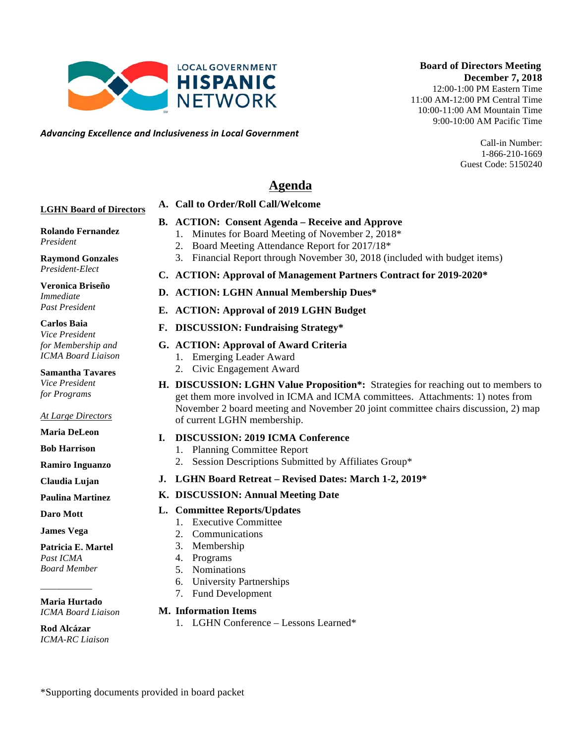\*Supporting documents provided in board packet

# **Board of Directors Meeting December 7, 2018**

12:00-1:00 PM Eastern Time 11:00 AM-12:00 PM Central Time 10:00-11:00 AM Mountain Time 9:00-10:00 AM Pacific Time

> Call-in Number: 1-866-210-1669 Guest Code: 5150240

# **Agenda**

### **A. Call to Order/Roll Call/Welcome**

**LOCAL GOVERNMENT HISPANIC NETWORK** 

*Advancing)Excellence)and)Inclusiveness)in)Local)Government*

### **LGHN Board of Directors**

### **B. ACTION: Consent Agenda – Receive and Approve**

- 1. Minutes for Board Meeting of November 2, 2018\*
	- 2. Board Meeting Attendance Report for 2017/18\*
	- 3. Financial Report through November 30, 2018 (included with budget items)
- **C. ACTION: Approval of Management Partners Contract for 2019-2020\***
- **D. ACTION: LGHN Annual Membership Dues\***

### **E. ACTION: Approval of 2019 LGHN Budget**

### **F. DISCUSSION: Fundraising Strategy\***

### **G. ACTION: Approval of Award Criteria**

- 1. Emerging Leader Award
- 2. Civic Engagement Award
- **H. DISCUSSION: LGHN Value Proposition\*:** Strategies for reaching out to members to get them more involved in ICMA and ICMA committees. Attachments: 1) notes from November 2 board meeting and November 20 joint committee chairs discussion, 2) map of current LGHN membership.

### **I. DISCUSSION: 2019 ICMA Conference**

- 1. Planning Committee Report
- 2. Session Descriptions Submitted by Affiliates Group\*
- **J. LGHN Board Retreat – Revised Dates: March 1-2, 2019\***

### **K. DISCUSSION: Annual Meeting Date**

### **L. Committee Reports/Updates**

- 1. Executive Committee
- 2. Communications
- 3. Membership
- 4. Programs
- 5. Nominations
- 6. University Partnerships
- 7. Fund Development

#### **M. Information Items**

1. LGHN Conference – Lessons Learned\*

**Rod Alcázar**

*ICMA-RC Liaison*

**Rolando Fernandez** *President*

**Raymond Gonzales** *President-Elect*

**Veronica Briseño** *Immediate Past President*

*for Membership and ICMA Board Liaison*

*for Programs*

#### *At Large Directors*

**Ramiro Inguanzo**

**Claudia Lujan**

**Paulina Martinez**

**James Vega**

**Patricia E. Martel** *Past ICMA Board Member*

**Maria Hurtado** *ICMA Board Liaison*

**Maria DeLeon Bob Harrison**

# **Daro Mott**

\_\_\_\_\_\_\_\_\_\_\_

**Carlos Baia** *Vice President* 

**Samantha Tavares** *Vice President*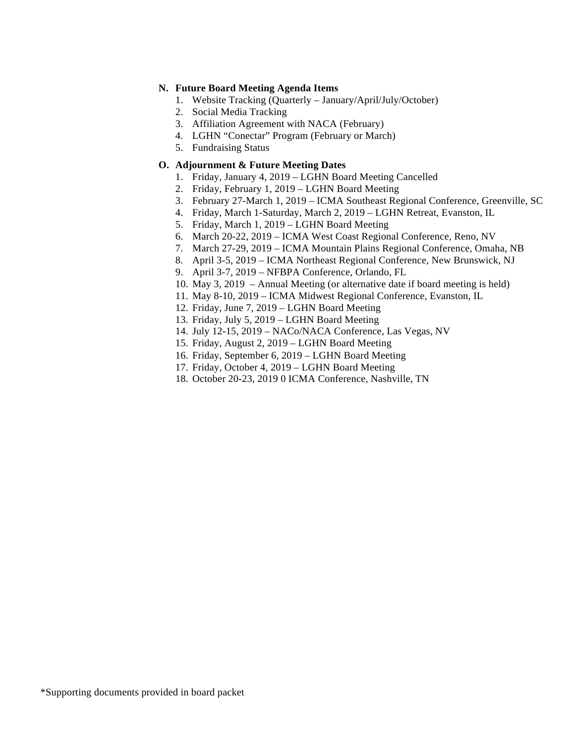#### **N. Future Board Meeting Agenda Items**

- 1. Website Tracking (Quarterly January/April/July/October)
- 2. Social Media Tracking
- 3. Affiliation Agreement with NACA (February)
- 4. LGHN "Conectar" Program (February or March)
- 5. Fundraising Status

### **O. Adjournment & Future Meeting Dates**

- 1. Friday, January 4, 2019 LGHN Board Meeting Cancelled
- 2. Friday, February 1, 2019 LGHN Board Meeting
- 3. February 27-March 1, 2019 ICMA Southeast Regional Conference, Greenville, SC
- 4. Friday, March 1-Saturday, March 2, 2019 LGHN Retreat, Evanston, IL
- 5. Friday, March 1, 2019 LGHN Board Meeting
- 6. March 20-22, 2019 ICMA West Coast Regional Conference, Reno, NV
- 7. March 27-29, 2019 ICMA Mountain Plains Regional Conference, Omaha, NB
- 8. April 3-5, 2019 ICMA Northeast Regional Conference, New Brunswick, NJ
- 9. April 3-7, 2019 NFBPA Conference, Orlando, FL
- 10. May 3, 2019 Annual Meeting (or alternative date if board meeting is held)
- 11. May 8-10, 2019 ICMA Midwest Regional Conference, Evanston, IL
- 12. Friday, June 7, 2019 LGHN Board Meeting
- 13. Friday, July 5, 2019 LGHN Board Meeting
- 14. July 12-15, 2019 NACo/NACA Conference, Las Vegas, NV
- 15. Friday, August 2, 2019 LGHN Board Meeting
- 16. Friday, September 6, 2019 LGHN Board Meeting
- 17. Friday, October 4, 2019 LGHN Board Meeting
- 18. October 20-23, 2019 0 ICMA Conference, Nashville, TN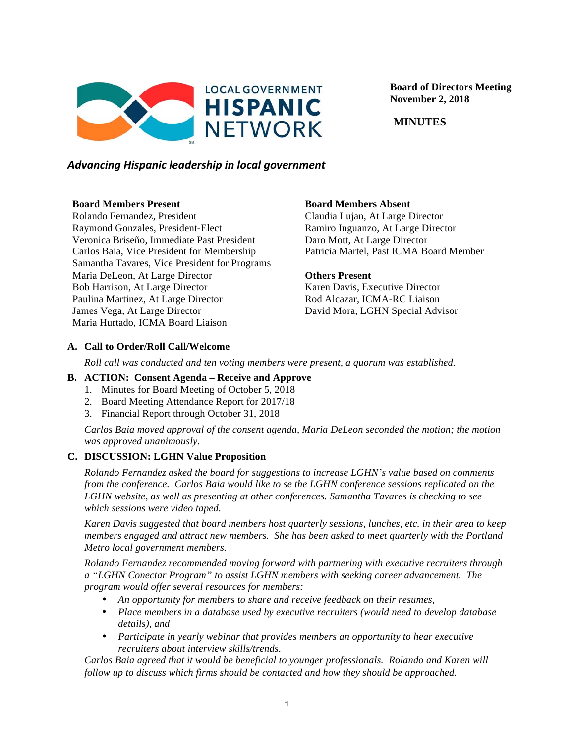

 **Board of Directors Meeting November 2, 2018**

 **MINUTES**

# *Advancing)Hispanic)leadership)in)local)government*

#### **Board Members Present**

Rolando Fernandez, President Raymond Gonzales, President-Elect Veronica Briseño, Immediate Past President Carlos Baia, Vice President for Membership Samantha Tavares, Vice President for Programs Maria DeLeon, At Large Director Bob Harrison, At Large Director Paulina Martinez, At Large Director James Vega, At Large Director Maria Hurtado, ICMA Board Liaison

### **Board Members Absent**

Claudia Lujan, At Large Director Ramiro Inguanzo, At Large Director Daro Mott, At Large Director Patricia Martel, Past ICMA Board Member

#### **Others Present**

Karen Davis, Executive Director Rod Alcazar, ICMA-RC Liaison David Mora, LGHN Special Advisor

### **A. Call to Order/Roll Call/Welcome**

*Roll call was conducted and ten voting members were present, a quorum was established.*

### **B. ACTION: Consent Agenda – Receive and Approve**

- 1. Minutes for Board Meeting of October 5, 2018
- 2. Board Meeting Attendance Report for 2017/18
- 3. Financial Report through October 31, 2018

*Carlos Baia moved approval of the consent agenda, Maria DeLeon seconded the motion; the motion was approved unanimously.*

### **C. DISCUSSION: LGHN Value Proposition**

*Rolando Fernandez asked the board for suggestions to increase LGHN's value based on comments from the conference. Carlos Baia would like to se the LGHN conference sessions replicated on the LGHN website, as well as presenting at other conferences. Samantha Tavares is checking to see which sessions were video taped.* 

*Karen Davis suggested that board members host quarterly sessions, lunches, etc. in their area to keep members engaged and attract new members. She has been asked to meet quarterly with the Portland Metro local government members.*

*Rolando Fernandez recommended moving forward with partnering with executive recruiters through a "LGHN Conectar Program" to assist LGHN members with seeking career advancement. The program would offer several resources for members:*

- *An opportunity for members to share and receive feedback on their resumes,*
- *Place members in a database used by executive recruiters (would need to develop database details), and*
- *Participate in yearly webinar that provides members an opportunity to hear executive recruiters about interview skills/trends.*

*Carlos Baia agreed that it would be beneficial to younger professionals. Rolando and Karen will follow up to discuss which firms should be contacted and how they should be approached.*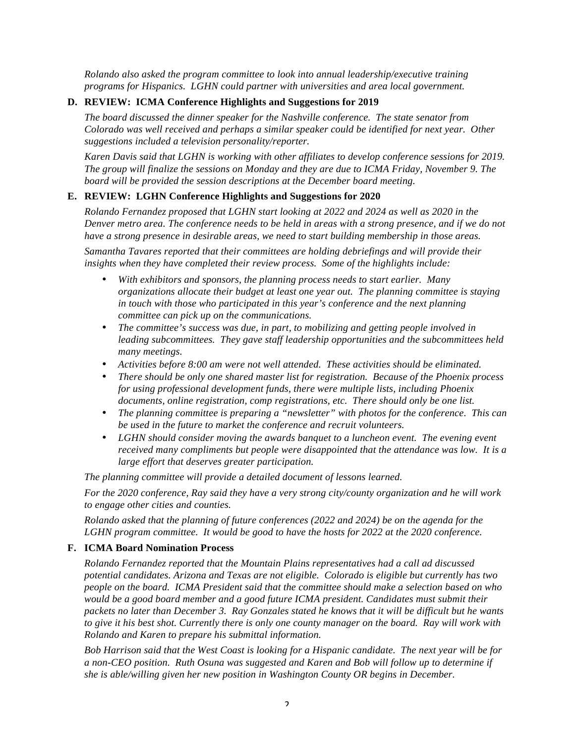*Rolando also asked the program committee to look into annual leadership/executive training programs for Hispanics. LGHN could partner with universities and area local government.* 

#### **D. REVIEW: ICMA Conference Highlights and Suggestions for 2019**

*The board discussed the dinner speaker for the Nashville conference. The state senator from Colorado was well received and perhaps a similar speaker could be identified for next year. Other suggestions included a television personality/reporter.*

*Karen Davis said that LGHN is working with other affiliates to develop conference sessions for 2019. The group will finalize the sessions on Monday and they are due to ICMA Friday, November 9. The board will be provided the session descriptions at the December board meeting.* 

#### **E. REVIEW: LGHN Conference Highlights and Suggestions for 2020**

*Rolando Fernandez proposed that LGHN start looking at 2022 and 2024 as well as 2020 in the Denver metro area. The conference needs to be held in areas with a strong presence, and if we do not have a strong presence in desirable areas, we need to start building membership in those areas.*

*Samantha Tavares reported that their committees are holding debriefings and will provide their insights when they have completed their review process. Some of the highlights include:*

- *With exhibitors and sponsors, the planning process needs to start earlier. Many organizations allocate their budget at least one year out. The planning committee is staying in touch with those who participated in this year's conference and the next planning committee can pick up on the communications.*
- *The committee's success was due, in part, to mobilizing and getting people involved in leading subcommittees. They gave staff leadership opportunities and the subcommittees held many meetings.*
- *Activities before 8:00 am were not well attended. These activities should be eliminated.*
- *There should be only one shared master list for registration. Because of the Phoenix process for using professional development funds, there were multiple lists, including Phoenix documents, online registration, comp registrations, etc. There should only be one list.*
- *The planning committee is preparing a "newsletter" with photos for the conference. This can be used in the future to market the conference and recruit volunteers.*
- *LGHN should consider moving the awards banquet to a luncheon event. The evening event received many compliments but people were disappointed that the attendance was low. It is a large effort that deserves greater participation.*

*The planning committee will provide a detailed document of lessons learned.*

*For the 2020 conference, Ray said they have a very strong city/county organization and he will work to engage other cities and counties.*

*Rolando asked that the planning of future conferences (2022 and 2024) be on the agenda for the LGHN program committee. It would be good to have the hosts for 2022 at the 2020 conference.* 

#### **F. ICMA Board Nomination Process**

*Rolando Fernandez reported that the Mountain Plains representatives had a call ad discussed potential candidates. Arizona and Texas are not eligible. Colorado is eligible but currently has two people on the board. ICMA President said that the committee should make a selection based on who would be a good board member and a good future ICMA president. Candidates must submit their packets no later than December 3. Ray Gonzales stated he knows that it will be difficult but he wants to give it his best shot. Currently there is only one county manager on the board. Ray will work with Rolando and Karen to prepare his submittal information.*

*Bob Harrison said that the West Coast is looking for a Hispanic candidate. The next year will be for a non-CEO position. Ruth Osuna was suggested and Karen and Bob will follow up to determine if she is able/willing given her new position in Washington County OR begins in December.*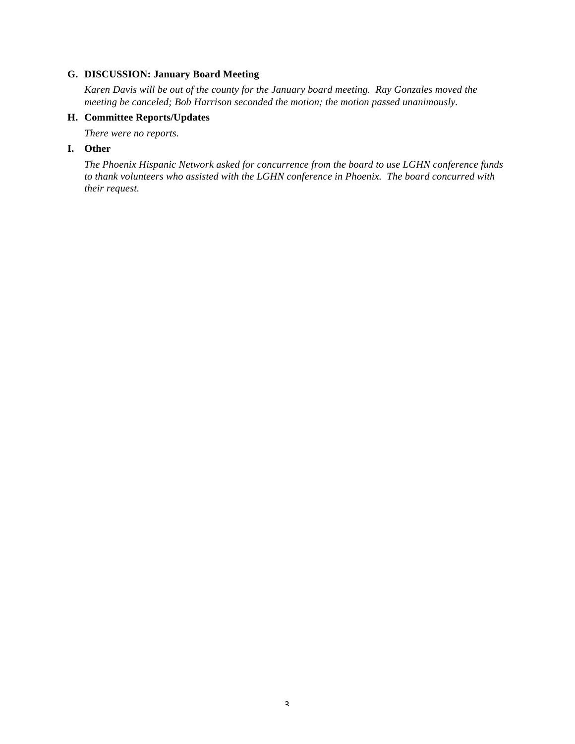### **G. DISCUSSION: January Board Meeting**

*Karen Davis will be out of the county for the January board meeting. Ray Gonzales moved the meeting be canceled; Bob Harrison seconded the motion; the motion passed unanimously.*

### **H. Committee Reports/Updates**

*There were no reports.* 

#### **I. Other**

*The Phoenix Hispanic Network asked for concurrence from the board to use LGHN conference funds to thank volunteers who assisted with the LGHN conference in Phoenix. The board concurred with their request.*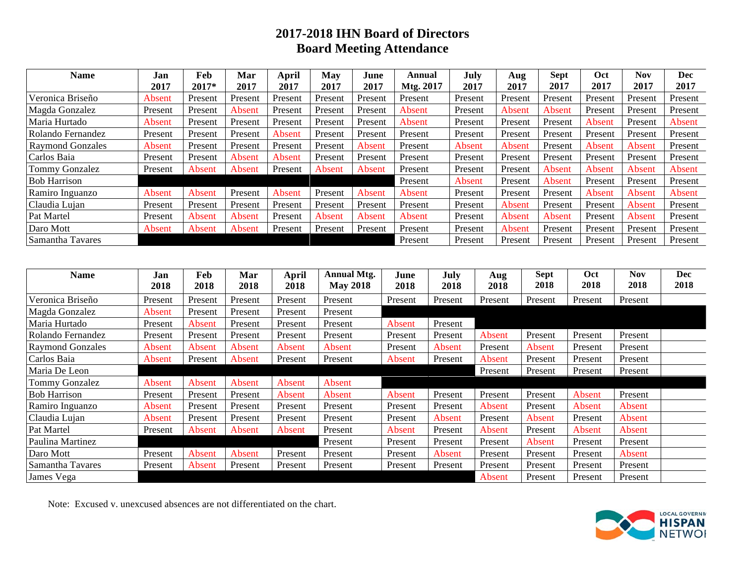# **2017-2018 IHN Board of Directors Board Meeting Attendance**

| Name                    | Jan     | Feb     | Mar     | April   | May     | June    | Annual    | July    | Aug     | <b>Sept</b> | Oct     | <b>Nov</b> | Dec     |
|-------------------------|---------|---------|---------|---------|---------|---------|-----------|---------|---------|-------------|---------|------------|---------|
|                         | 2017    | 2017*   | 2017    | 2017    | 2017    | 2017    | Mtg. 2017 | 2017    | 2017    | 2017        | 2017    | 2017       | 2017    |
| Veronica Briseño        | Absent  | Present | Present | Present | Present | Present | Present   | Present | Present | Present     | Present | Present    | Present |
| Magda Gonzalez          | Present | Present | Absent  | Present | Present | Present | Absent    | Present | Absent  | Absent      | Present | Present    | Present |
| Maria Hurtado           | Absent  | Present | Present | Present | Present | Present | Absent    | Present | Present | Present     | Absent  | Present    | Absent  |
| Rolando Fernandez       | Present | Present | Present | Absent  | Present | Present | Present   | Present | Present | Present     | Present | Present    | Present |
| <b>Raymond Gonzales</b> | Absent  | Present | Present | Present | Present | Absent  | Present   | Absent  | Absent  | Present     | Absent  | Absent     | Present |
| Carlos Baia             | Present | Present | Absent  | Absent  | Present | Present | Present   | Present | Present | Present     | Present | Present    | Present |
| <b>Tommy Gonzalez</b>   | Present | Absent  | Absent  | Present | Absent  | Absent  | Present   | Present | Present | Absent      | Absent  | Absent     | Absent  |
| <b>Bob Harrison</b>     |         |         |         |         |         |         | Present   | Absent  | Present | Absent      | Present | Present    | Present |
| Ramiro Inguanzo         | Absent  | Absent  | Present | Absent  | Present | Absent  | Absent    | Present | Present | Present     | Absent  | Absent     | Absent  |
| Claudia Lujan           | Present | Present | Present | Present | Present | Present | Present   | Present | Absent  | Present     | Present | Absent     | Present |
| Pat Martel              | Present | Absent  | Absent  | Present | Absent  | Absent  | Absent    | Present | Absent  | Absent      | Present | Absent     | Present |
| Daro Mott               | Absent  | Absent  | Absent  | Present | Present | Present | Present   | Present | Absent  | Present     | Present | Present    | Present |
| Samantha Tavares        |         |         |         |         |         |         | Present   | Present | Present | Present     | Present | Present    | Present |

| Name                    | Jan<br>2018 | Feb<br>2018 | Mar<br>2018 | <b>April</b><br>2018 | <b>Annual Mtg.</b><br><b>May 2018</b> | June<br>2018 | July<br>2018 | Aug<br>2018 | <b>Sept</b><br>2018 | Oct<br>2018 | <b>Nov</b><br>2018 | Dec<br>2018 |
|-------------------------|-------------|-------------|-------------|----------------------|---------------------------------------|--------------|--------------|-------------|---------------------|-------------|--------------------|-------------|
| Veronica Briseño        | Present     | Present     | Present     | Present              | Present                               | Present      | Present      | Present     | Present             | Present     | Present            |             |
| Magda Gonzalez          | Absent      | Present     | Present     | Present              | Present                               |              |              |             |                     |             |                    |             |
| Maria Hurtado           | Present     | Absent      | Present     | Present              | Present                               | Absent       | Present      |             |                     |             |                    |             |
| Rolando Fernandez       | Present     | Present     | Present     | Present              | Present                               | Present      | Present      | Absent      | Present             | Present     | Present            |             |
| <b>Raymond Gonzales</b> | Absent      | Absent      | Absent      | Absent               | Absent                                | Present      | Absent       | Present     | Absent              | Present     | Present            |             |
| Carlos Baia             | Absent      | Present     | Absent      | Present              | Present                               | Absent       | Present      | Absent      | Present             | Present     | Present            |             |
| Maria De Leon           |             |             |             |                      |                                       |              |              | Present     | Present             | Present     | Present            |             |
| Tommy Gonzalez          | Absent      | Absent      | Absent      | Absent               | Absent                                |              |              |             |                     |             |                    |             |
| <b>Bob Harrison</b>     | Present     | Present     | Present     | Absent               | Absent                                | Absent       | Present      | Present     | Present             | Absent      | Present            |             |
| Ramiro Inguanzo         | Absent      | Present     | Present     | Present              | Present                               | Present      | Present      | Absent      | Present             | Absent      | Absent             |             |
| Claudia Lujan           | Absent      | Present     | Present     | Present              | Present                               | Present      | Absent       | Present     | Absent              | Present     | Absent             |             |
| Pat Martel              | Present     | Absent      | Absent      | Absent               | Present                               | Absent       | Present      | Absent      | Present             | Absent      | Absent             |             |
| Paulina Martinez        |             |             |             |                      | Present                               | Present      | Present      | Present     | Absent              | Present     | Present            |             |
| Daro Mott               | Present     | Absent      | Absent      | Present              | Present                               | Present      | Absent       | Present     | Present             | Present     | Absent             |             |
| Samantha Tavares        | Present     | Absent      | Present     | Present              | Present                               | Present      | Present      | Present     | Present             | Present     | Present            |             |
| James Vega              |             |             |             |                      |                                       |              |              | Absent      | Present             | Present     | Present            |             |

Note: Excused v. unexcused absences are not differentiated on the chart.

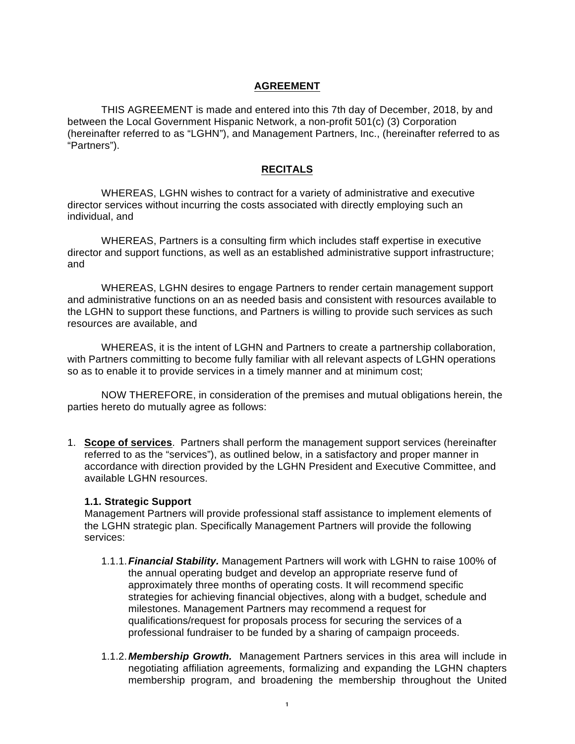#### **AGREEMENT**

THIS AGREEMENT is made and entered into this 7th day of December, 2018, by and between the Local Government Hispanic Network, a non-profit 501(c) (3) Corporation (hereinafter referred to as "LGHN"), and Management Partners, Inc., (hereinafter referred to as "Partners").

#### **RECITALS**

WHEREAS, LGHN wishes to contract for a variety of administrative and executive director services without incurring the costs associated with directly employing such an individual, and

WHEREAS, Partners is a consulting firm which includes staff expertise in executive director and support functions, as well as an established administrative support infrastructure; and

WHEREAS, LGHN desires to engage Partners to render certain management support and administrative functions on an as needed basis and consistent with resources available to the LGHN to support these functions, and Partners is willing to provide such services as such resources are available, and

WHEREAS, it is the intent of LGHN and Partners to create a partnership collaboration, with Partners committing to become fully familiar with all relevant aspects of LGHN operations so as to enable it to provide services in a timely manner and at minimum cost;

NOW THEREFORE, in consideration of the premises and mutual obligations herein, the parties hereto do mutually agree as follows:

1. **Scope of services**. Partners shall perform the management support services (hereinafter referred to as the "services"), as outlined below, in a satisfactory and proper manner in accordance with direction provided by the LGHN President and Executive Committee, and available LGHN resources.

#### **1.1. Strategic Support**

Management Partners will provide professional staff assistance to implement elements of the LGHN strategic plan. Specifically Management Partners will provide the following services:

- 1.1.1.*Financial Stability.* Management Partners will work with LGHN to raise 100% of the annual operating budget and develop an appropriate reserve fund of approximately three months of operating costs. It will recommend specific strategies for achieving financial objectives, along with a budget, schedule and milestones. Management Partners may recommend a request for qualifications/request for proposals process for securing the services of a professional fundraiser to be funded by a sharing of campaign proceeds.
- 1.1.2.*Membership Growth.* Management Partners services in this area will include in negotiating affiliation agreements, formalizing and expanding the LGHN chapters membership program, and broadening the membership throughout the United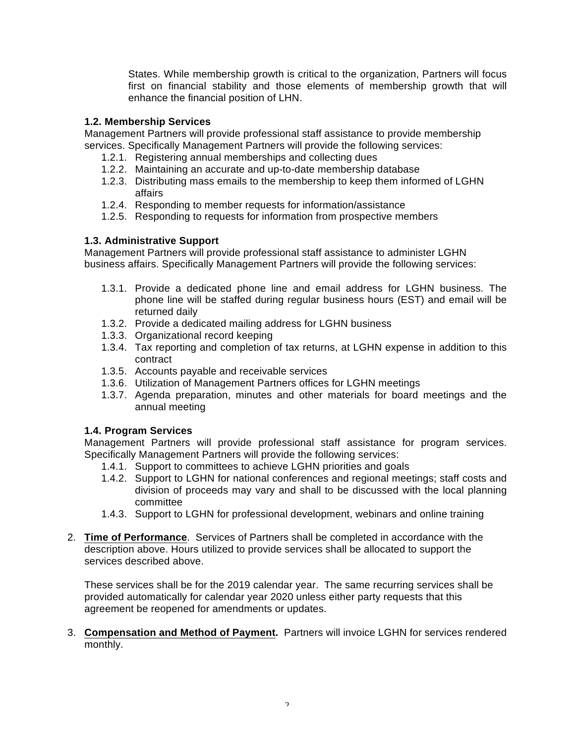States. While membership growth is critical to the organization, Partners will focus first on financial stability and those elements of membership growth that will enhance the financial position of LHN.

### **1.2. Membership Services**

Management Partners will provide professional staff assistance to provide membership services. Specifically Management Partners will provide the following services:

- 1.2.1. Registering annual memberships and collecting dues
- 1.2.2. Maintaining an accurate and up-to-date membership database
- 1.2.3. Distributing mass emails to the membership to keep them informed of LGHN affairs
- 1.2.4. Responding to member requests for information/assistance
- 1.2.5. Responding to requests for information from prospective members

#### **1.3. Administrative Support**

Management Partners will provide professional staff assistance to administer LGHN business affairs. Specifically Management Partners will provide the following services:

- 1.3.1. Provide a dedicated phone line and email address for LGHN business. The phone line will be staffed during regular business hours (EST) and email will be returned daily
- 1.3.2. Provide a dedicated mailing address for LGHN business
- 1.3.3. Organizational record keeping
- 1.3.4. Tax reporting and completion of tax returns, at LGHN expense in addition to this contract
- 1.3.5. Accounts payable and receivable services
- 1.3.6. Utilization of Management Partners offices for LGHN meetings
- 1.3.7. Agenda preparation, minutes and other materials for board meetings and the annual meeting

### **1.4. Program Services**

Management Partners will provide professional staff assistance for program services. Specifically Management Partners will provide the following services:

- 1.4.1. Support to committees to achieve LGHN priorities and goals
- 1.4.2. Support to LGHN for national conferences and regional meetings; staff costs and division of proceeds may vary and shall to be discussed with the local planning committee
- 1.4.3. Support to LGHN for professional development, webinars and online training
- 2. **Time of Performance**. Services of Partners shall be completed in accordance with the description above. Hours utilized to provide services shall be allocated to support the services described above.

These services shall be for the 2019 calendar year. The same recurring services shall be provided automatically for calendar year 2020 unless either party requests that this agreement be reopened for amendments or updates.

3. **Compensation and Method of Payment.** Partners will invoice LGHN for services rendered monthly.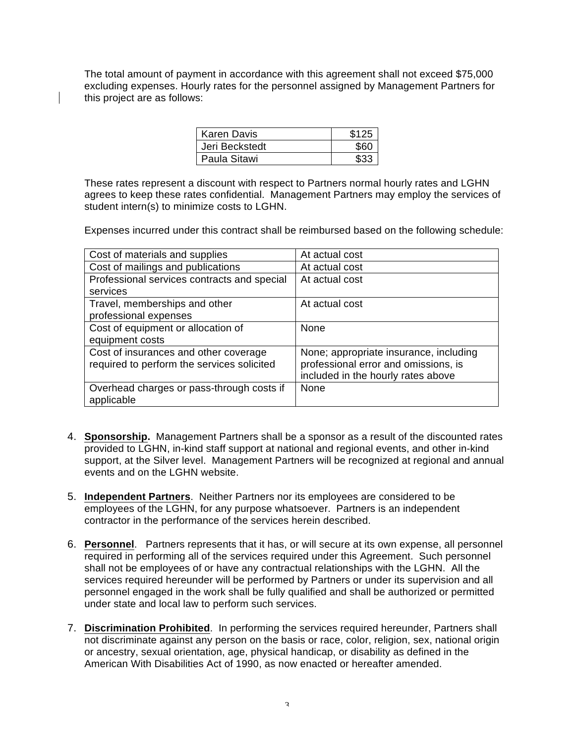The total amount of payment in accordance with this agreement shall not exceed \$75,000 excluding expenses. Hourly rates for the personnel assigned by Management Partners for this project are as follows:

| Karen Davis    | \$125 |
|----------------|-------|
| Jeri Beckstedt | \$60  |
| Paula Sitawi   | \$33  |

These rates represent a discount with respect to Partners normal hourly rates and LGHN agrees to keep these rates confidential. Management Partners may employ the services of student intern(s) to minimize costs to LGHN.

Expenses incurred under this contract shall be reimbursed based on the following schedule:

| Cost of materials and supplies              | At actual cost                         |
|---------------------------------------------|----------------------------------------|
| Cost of mailings and publications           | At actual cost                         |
| Professional services contracts and special | At actual cost                         |
| services                                    |                                        |
| Travel, memberships and other               | At actual cost                         |
| professional expenses                       |                                        |
| Cost of equipment or allocation of          | <b>None</b>                            |
| equipment costs                             |                                        |
| Cost of insurances and other coverage       | None; appropriate insurance, including |
| required to perform the services solicited  | professional error and omissions, is   |
|                                             | included in the hourly rates above     |
| Overhead charges or pass-through costs if   | <b>None</b>                            |
| applicable                                  |                                        |

- 4. **Sponsorship.** Management Partners shall be a sponsor as a result of the discounted rates provided to LGHN, in-kind staff support at national and regional events, and other in-kind support, at the Silver level. Management Partners will be recognized at regional and annual events and on the LGHN website.
- 5. **Independent Partners**. Neither Partners nor its employees are considered to be employees of the LGHN, for any purpose whatsoever. Partners is an independent contractor in the performance of the services herein described.
- 6. **Personnel**. Partners represents that it has, or will secure at its own expense, all personnel required in performing all of the services required under this Agreement. Such personnel shall not be employees of or have any contractual relationships with the LGHN. All the services required hereunder will be performed by Partners or under its supervision and all personnel engaged in the work shall be fully qualified and shall be authorized or permitted under state and local law to perform such services.
- 7. **Discrimination Prohibited**. In performing the services required hereunder, Partners shall not discriminate against any person on the basis or race, color, religion, sex, national origin or ancestry, sexual orientation, age, physical handicap, or disability as defined in the American With Disabilities Act of 1990, as now enacted or hereafter amended.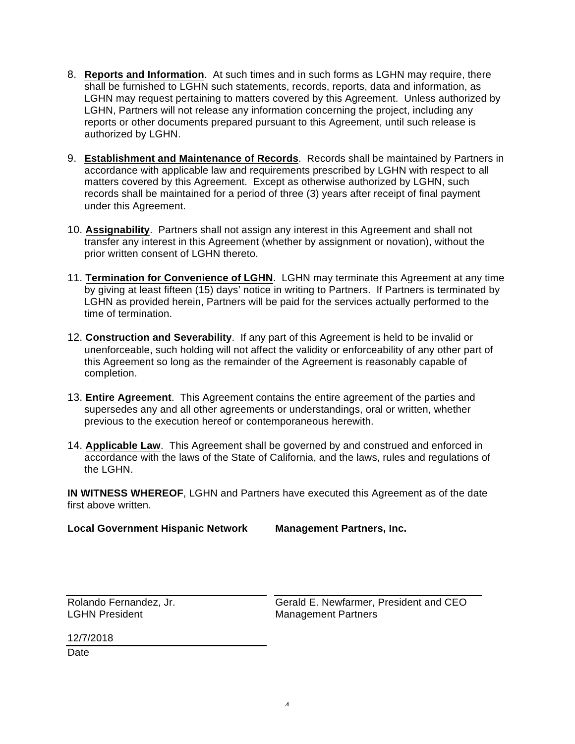- 8. **Reports and Information**. At such times and in such forms as LGHN may require, there shall be furnished to LGHN such statements, records, reports, data and information, as LGHN may request pertaining to matters covered by this Agreement. Unless authorized by LGHN, Partners will not release any information concerning the project, including any reports or other documents prepared pursuant to this Agreement, until such release is authorized by LGHN.
- 9. **Establishment and Maintenance of Records**. Records shall be maintained by Partners in accordance with applicable law and requirements prescribed by LGHN with respect to all matters covered by this Agreement. Except as otherwise authorized by LGHN, such records shall be maintained for a period of three (3) years after receipt of final payment under this Agreement.
- 10. **Assignability**. Partners shall not assign any interest in this Agreement and shall not transfer any interest in this Agreement (whether by assignment or novation), without the prior written consent of LGHN thereto.
- 11. **Termination for Convenience of LGHN**. LGHN may terminate this Agreement at any time by giving at least fifteen (15) days' notice in writing to Partners. If Partners is terminated by LGHN as provided herein, Partners will be paid for the services actually performed to the time of termination.
- 12. **Construction and Severability**. If any part of this Agreement is held to be invalid or unenforceable, such holding will not affect the validity or enforceability of any other part of this Agreement so long as the remainder of the Agreement is reasonably capable of completion.
- 13. **Entire Agreement**. This Agreement contains the entire agreement of the parties and supersedes any and all other agreements or understandings, oral or written, whether previous to the execution hereof or contemporaneous herewith.
- 14. **Applicable Law**. This Agreement shall be governed by and construed and enforced in accordance with the laws of the State of California, and the laws, rules and regulations of the LGHN.

**IN WITNESS WHEREOF**, LGHN and Partners have executed this Agreement as of the date first above written.

**Local Government Hispanic Network**

**Management Partners, Inc.**

Rolando Fernandez, Jr. LGHN President

Gerald E. Newfarmer, President and CEO Management Partners

12/7/2018

**Date**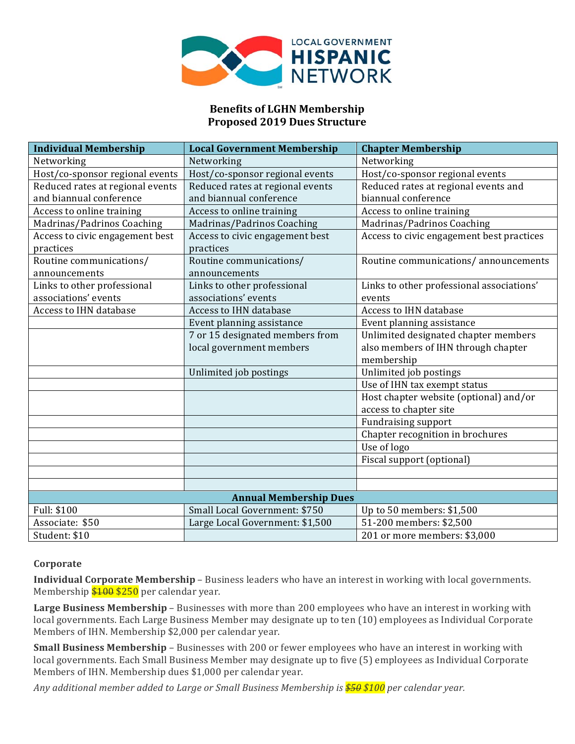

# **Benefits of LGHN Membership Proposed 2019 Dues Structure**

| <b>Individual Membership</b>     | <b>Local Government Membership</b> | <b>Chapter Membership</b>                 |
|----------------------------------|------------------------------------|-------------------------------------------|
| Networking                       | Networking                         | Networking                                |
| Host/co-sponsor regional events  | Host/co-sponsor regional events    | Host/co-sponsor regional events           |
| Reduced rates at regional events | Reduced rates at regional events   | Reduced rates at regional events and      |
| and biannual conference          | and biannual conference            | biannual conference                       |
| Access to online training        | Access to online training          | Access to online training                 |
| Madrinas/Padrinos Coaching       | Madrinas/Padrinos Coaching         | Madrinas/Padrinos Coaching                |
| Access to civic engagement best  | Access to civic engagement best    | Access to civic engagement best practices |
| practices                        | practices                          |                                           |
| Routine communications/          | Routine communications/            | Routine communications/announcements      |
| announcements                    | announcements                      |                                           |
| Links to other professional      | Links to other professional        | Links to other professional associations' |
| associations' events             | associations' events               | events                                    |
| Access to IHN database           | Access to IHN database             | Access to IHN database                    |
|                                  | Event planning assistance          | Event planning assistance                 |
|                                  | 7 or 15 designated members from    | Unlimited designated chapter members      |
|                                  | local government members           | also members of IHN through chapter       |
|                                  |                                    | membership                                |
|                                  | Unlimited job postings             | Unlimited job postings                    |
|                                  |                                    | Use of IHN tax exempt status              |
|                                  |                                    | Host chapter website (optional) and/or    |
|                                  |                                    | access to chapter site                    |
|                                  |                                    | <b>Fundraising support</b>                |
|                                  |                                    | Chapter recognition in brochures          |
|                                  |                                    | Use of logo                               |
|                                  |                                    | Fiscal support (optional)                 |
|                                  |                                    |                                           |
|                                  |                                    |                                           |
|                                  | <b>Annual Membership Dues</b>      |                                           |
| Full: \$100                      | Small Local Government: \$750      | Up to 50 members: \$1,500                 |
| Associate: \$50                  | Large Local Government: \$1,500    | 51-200 members: \$2,500                   |
| Student: \$10                    |                                    | 201 or more members: \$3,000              |

#### **Corporate**

**Individual Corporate Membership** – Business leaders who have an interest in working with local governments. Membership  $$100 $250$  per calendar year.

**Large Business Membership** – Businesses with more than 200 employees who have an interest in working with local governments. Each Large Business Member may designate up to ten (10) employees as Individual Corporate Members of IHN. Membership \$2,000 per calendar year.

**Small Business Membership** – Businesses with 200 or fewer employees who have an interest in working with local governments. Each Small Business Member may designate up to five (5) employees as Individual Corporate Members of IHN. Membership dues \$1,000 per calendar year.

Any additional member added to Large or Small Business Membership is  $\frac{$50}{$50}$  \$100 per calendar year.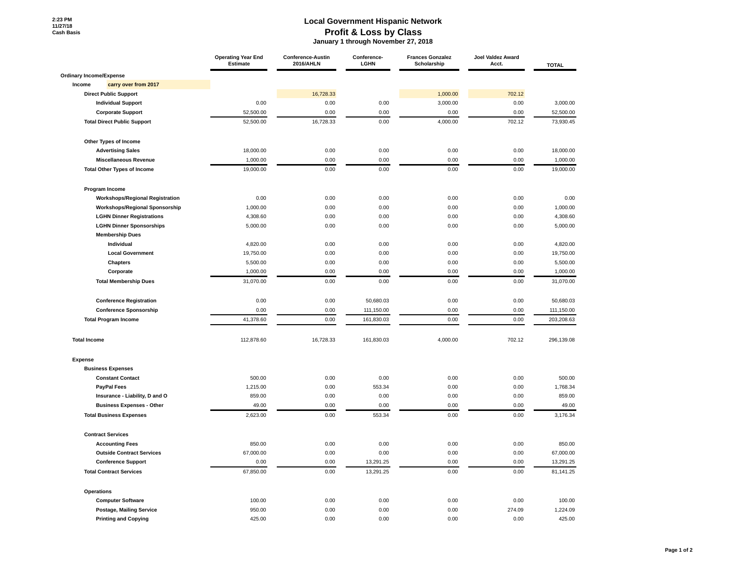**2:23 PM 11/27/18 Cash Basis**

#### **Local Government Hispanic Network Profit & Loss by Class**

 **January 1 through November 27, 2018**

|                                    |                                        | <b>Operating Year End</b><br><b>Estimate</b> | <b>Conference-Austin</b><br>2016/AHLN | Conference-<br>LGHN | <b>Frances Gonzalez</b><br>Scholarship | Joel Valdez Award<br>Acct. | <b>TOTAL</b> |
|------------------------------------|----------------------------------------|----------------------------------------------|---------------------------------------|---------------------|----------------------------------------|----------------------------|--------------|
| Ordinary Income/Expense            |                                        |                                              |                                       |                     |                                        |                            |              |
| Income<br>carry over from 2017     |                                        |                                              |                                       |                     |                                        |                            |              |
| <b>Direct Public Support</b>       |                                        |                                              | 16,728.33                             |                     | 1,000.00                               | 702.12                     |              |
| <b>Individual Support</b>          |                                        | 0.00                                         | 0.00                                  | 0.00                | 3,000.00                               | 0.00                       | 3,000.00     |
| <b>Corporate Support</b>           |                                        | 52,500.00                                    | 0.00                                  | 0.00                | 0.00                                   | 0.00                       | 52,500.00    |
| <b>Total Direct Public Support</b> |                                        | 52,500.00                                    | 16,728.33                             | 0.00                | 4,000.00                               | 702.12                     | 73,930.45    |
| Other Types of Income              |                                        |                                              |                                       |                     |                                        |                            |              |
| <b>Advertising Sales</b>           |                                        | 18,000.00                                    | 0.00                                  | 0.00                | 0.00                                   | 0.00                       | 18,000.00    |
| <b>Miscellaneous Revenue</b>       |                                        | 1,000.00                                     | 0.00                                  | 0.00                | 0.00                                   | 0.00                       | 1,000.00     |
| <b>Total Other Types of Income</b> |                                        | 19,000.00                                    | 0.00                                  | 0.00                | 0.00                                   | 0.00                       | 19,000.00    |
| Program Income                     |                                        |                                              |                                       |                     |                                        |                            |              |
|                                    | <b>Workshops/Regional Registration</b> | 0.00                                         | 0.00                                  | 0.00                | 0.00                                   | 0.00                       | 0.00         |
|                                    | <b>Workshops/Regional Sponsorship</b>  | 1,000.00                                     | 0.00                                  | 0.00                | 0.00                                   | 0.00                       | 1,000.00     |
| <b>LGHN Dinner Registrations</b>   |                                        | 4,308.60                                     | 0.00                                  | 0.00                | 0.00                                   | 0.00                       | 4,308.60     |
| <b>LGHN Dinner Sponsorships</b>    |                                        | 5,000.00                                     | 0.00                                  | 0.00                | 0.00                                   | 0.00                       | 5,000.00     |
| <b>Membership Dues</b>             |                                        |                                              |                                       |                     |                                        |                            |              |
| Individual                         |                                        | 4,820.00                                     | 0.00                                  | 0.00                | 0.00                                   | 0.00                       | 4,820.00     |
| <b>Local Government</b>            |                                        | 19,750.00                                    | 0.00                                  | 0.00                | 0.00                                   | 0.00                       | 19,750.00    |
| <b>Chapters</b>                    |                                        | 5,500.00                                     | 0.00                                  | 0.00                | 0.00                                   | 0.00                       | 5,500.00     |
| Corporate                          |                                        | 1,000.00                                     | 0.00                                  | 0.00                | 0.00                                   | 0.00                       | 1,000.00     |
| <b>Total Membership Dues</b>       |                                        | 31,070.00                                    | 0.00                                  | 0.00                | 0.00                                   | 0.00                       | 31,070.00    |
| <b>Conference Registration</b>     |                                        | 0.00                                         | 0.00                                  | 50,680.03           | 0.00                                   | 0.00                       | 50,680.03    |
| <b>Conference Sponsorship</b>      |                                        | 0.00                                         | 0.00                                  | 111,150.00          | 0.00                                   | 0.00                       | 111,150.00   |
| <b>Total Program Income</b>        |                                        | 41,378.60                                    | 0.00                                  | 161,830.03          | 0.00                                   | 0.00                       | 203,208.63   |
| <b>Total Income</b>                |                                        | 112,878.60                                   | 16,728.33                             | 161,830.03          | 4,000.00                               | 702.12                     | 296,139.08   |
| <b>Expense</b>                     |                                        |                                              |                                       |                     |                                        |                            |              |
| <b>Business Expenses</b>           |                                        |                                              |                                       |                     |                                        |                            |              |
| <b>Constant Contact</b>            |                                        | 500.00                                       | 0.00                                  | 0.00                | 0.00                                   | 0.00                       | 500.00       |
| <b>PayPal Fees</b>                 |                                        | 1,215.00                                     | 0.00                                  | 553.34              | 0.00                                   | 0.00                       | 1,768.34     |
| Insurance - Liability, D and O     |                                        | 859.00                                       | 0.00                                  | 0.00                | 0.00                                   | 0.00                       | 859.00       |
| <b>Business Expenses - Other</b>   |                                        | 49.00                                        | 0.00                                  | 0.00                | 0.00                                   | 0.00                       | 49.00        |
| <b>Total Business Expenses</b>     |                                        | 2,623.00                                     | 0.00                                  | 553.34              | 0.00                                   | 0.00                       | 3,176.34     |
| <b>Contract Services</b>           |                                        |                                              |                                       |                     |                                        |                            |              |
| <b>Accounting Fees</b>             |                                        | 850.00                                       | 0.00                                  | 0.00                | 0.00                                   | 0.00                       | 850.00       |
| <b>Outside Contract Services</b>   |                                        | 67,000.00                                    | 0.00                                  | 0.00                | 0.00                                   | 0.00                       | 67,000.00    |
| <b>Conference Support</b>          |                                        | 0.00                                         | 0.00                                  | 13,291.25           | 0.00                                   | 0.00                       | 13,291.25    |
| <b>Total Contract Services</b>     |                                        | 67,850.00                                    | 0.00                                  | 13,291.25           | 0.00                                   | 0.00                       | 81.141.25    |
| <b>Operations</b>                  |                                        |                                              |                                       |                     |                                        |                            |              |
| <b>Computer Software</b>           |                                        | 100.00                                       | 0.00                                  | 0.00                | 0.00                                   | 0.00                       | 100.00       |
| <b>Postage, Mailing Service</b>    |                                        | 950.00                                       | 0.00                                  | 0.00                | 0.00                                   | 274.09                     | 1,224.09     |
| <b>Printing and Copying</b>        |                                        | 425.00                                       | 0.00                                  | 0.00                | 0.00                                   | 0.00                       | 425.00       |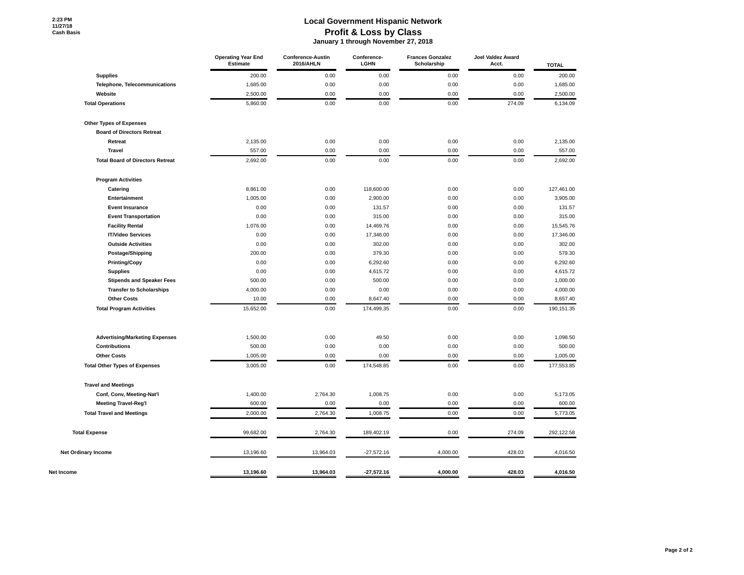#### **Local Government Hispanic Network Profit & Loss by Class January 1 through November 27, 2018**

|                                         | <b>Operating Year End</b><br><b>Estimate</b> | <b>Conference-Austin</b><br>2016/AHLN | Conference-<br>LGHN | <b>Frances Gonzalez</b><br>Scholarship | Joel Valdez Award<br>Acct. | <b>TOTAL</b> |
|-----------------------------------------|----------------------------------------------|---------------------------------------|---------------------|----------------------------------------|----------------------------|--------------|
| <b>Supplies</b>                         | 200.00                                       | 0.00                                  | 0.00                | 0.00                                   | 0.00                       | 200.00       |
| Telephone, Telecommunications           | 1,685.00                                     | 0.00                                  | 0.00                | 0.00                                   | 0.00                       | 1,685.00     |
| Website                                 | 2,500.00                                     | 0.00                                  | 0.00                | 0.00                                   | 0.00                       | 2,500.00     |
| <b>Total Operations</b>                 | 5,860.00                                     | 0.00                                  | 0.00                | 0.00                                   | 274.09                     | 6,134.09     |
| Other Types of Expenses                 |                                              |                                       |                     |                                        |                            |              |
| <b>Board of Directors Retreat</b>       |                                              |                                       |                     |                                        |                            |              |
| Retreat                                 | 2,135.00                                     | 0.00                                  | 0.00                | 0.00                                   | 0.00                       | 2,135.00     |
| <b>Travel</b>                           | 557.00                                       | 0.00                                  | 0.00                | 0.00                                   | 0.00                       | 557.00       |
| <b>Total Board of Directors Retreat</b> | 2,692.00                                     | 0.00                                  | 0.00                | 0.00                                   | 0.00                       | 2,692.00     |
| <b>Program Activities</b>               |                                              |                                       |                     |                                        |                            |              |
| Catering                                | 8,861.00                                     | 0.00                                  | 118,600.00          | 0.00                                   | 0.00                       | 127,461.00   |
| Entertainment                           | 1,005.00                                     | 0.00                                  | 2,900.00            | 0.00                                   | 0.00                       | 3,905.00     |
| <b>Event Insurance</b>                  | 0.00                                         | 0.00                                  | 131.57              | 0.00                                   | 0.00                       | 131.57       |
| <b>Event Transportation</b>             | 0.00                                         | 0.00                                  | 315.00              | 0.00                                   | 0.00                       | 315.00       |
| <b>Facility Rental</b>                  | 1,076.00                                     | 0.00                                  | 14,469.76           | 0.00                                   | 0.00                       | 15,545.76    |
| <b>IT/Video Services</b>                | 0.00                                         | 0.00                                  | 17,346.00           | 0.00                                   | 0.00                       | 17,346.00    |
| <b>Outside Activities</b>               | 0.00                                         | 0.00                                  | 302.00              | 0.00                                   | 0.00                       | 302.00       |
| Postage/Shipping                        | 200.00                                       | 0.00                                  | 379.30              | 0.00                                   | 0.00                       | 579.30       |
| <b>Printing/Copy</b>                    | 0.00                                         | 0.00                                  | 6,292.60            | 0.00                                   | 0.00                       | 6,292.60     |
| <b>Supplies</b>                         | 0.00                                         | 0.00                                  | 4,615.72            | 0.00                                   | 0.00                       | 4,615.72     |
| <b>Stipends and Speaker Fees</b>        | 500.00                                       | 0.00                                  | 500.00              | 0.00                                   | 0.00                       | 1,000.00     |
| <b>Transfer to Scholarships</b>         | 4,000.00                                     | 0.00                                  | 0.00                | 0.00                                   | 0.00                       | 4,000.00     |
| <b>Other Costs</b>                      | 10.00                                        | 0.00                                  | 8,647.40            | 0.00                                   | 0.00                       | 8,657.40     |
| <b>Total Program Activities</b>         | 15,652.00                                    | 0.00                                  | 174,499.35          | 0.00                                   | 0.00                       | 190,151.35   |
|                                         |                                              |                                       |                     |                                        |                            |              |
| <b>Advertising/Marketing Expenses</b>   | 1,500.00                                     | 0.00                                  | 49.50               | 0.00                                   | 0.00                       | 1,098.50     |
| <b>Contributions</b>                    | 500.00                                       | 0.00                                  | 0.00                | 0.00                                   | 0.00                       | 500.00       |
| <b>Other Costs</b>                      | 1,005.00                                     | 0.00                                  | 0.00                | 0.00                                   | 0.00                       | 1,005.00     |
| <b>Total Other Types of Expenses</b>    | 3,005.00                                     | 0.00                                  | 174,548.85          | 0.00                                   | 0.00                       | 177,553.85   |
| <b>Travel and Meetings</b>              |                                              |                                       |                     |                                        |                            |              |
| Conf, Conv, Meeting-Nat'l               | 1,400.00                                     | 2,764.30                              | 1,008.75            | 0.00                                   | 0.00                       | 5,173.05     |
| <b>Meeting Travel-Reg'l</b>             | 600.00                                       | 0.00                                  | 0.00                | 0.00                                   | 0.00                       | 600.00       |
| <b>Total Travel and Meetings</b>        | 2,000.00                                     | 2,764.30                              | 1,008.75            | 0.00                                   | 0.00                       | 5,773.05     |
| <b>Total Expense</b>                    | 99,682.00                                    | 2,764.30                              | 189,402.19          | 0.00                                   | 274.09                     | 292,122.58   |
| Net Ordinary Income                     | 13,196.60                                    | 13,964.03                             | $-27,572.16$        | 4,000.00                               | 428.03                     | 4,016.50     |
| Net Income                              | 13,196.60                                    | 13,964.03                             | $-27,572.16$        | 4,000.00                               | 428.03                     | 4,016.50     |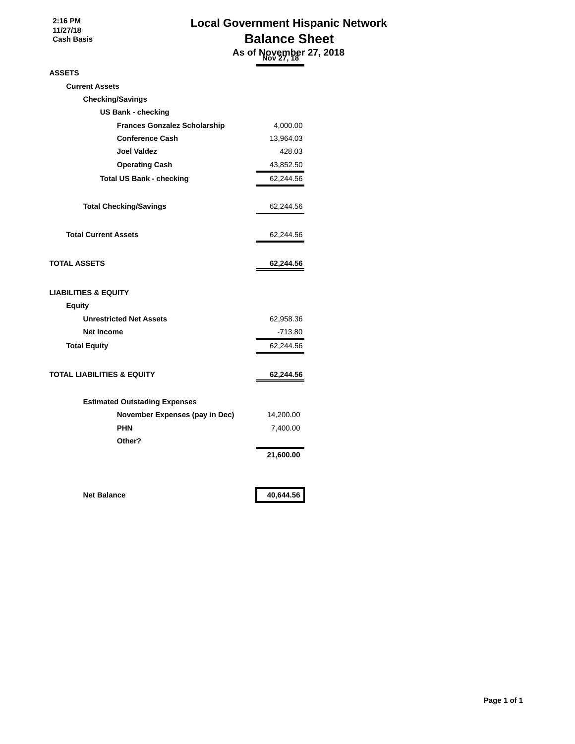**2:16 PM 11/27/18 Cash Basis**

# **Local Government Hispanic Network Balance Sheet As of November 27, 2018 Nov 27, 18**

#### **ASSETS**

| <b>Current Assets</b>                 |           |
|---------------------------------------|-----------|
| <b>Checking/Savings</b>               |           |
| <b>US Bank - checking</b>             |           |
| <b>Frances Gonzalez Scholarship</b>   | 4,000.00  |
| <b>Conference Cash</b>                | 13,964.03 |
| <b>Joel Valdez</b>                    | 428.03    |
| <b>Operating Cash</b>                 | 43,852.50 |
| <b>Total US Bank - checking</b>       | 62,244.56 |
| <b>Total Checking/Savings</b>         | 62,244.56 |
| <b>Total Current Assets</b>           | 62,244.56 |
| <b>TOTAL ASSETS</b>                   | 62,244.56 |
| <b>LIABILITIES &amp; EQUITY</b>       |           |
| <b>Equity</b>                         |           |
| <b>Unrestricted Net Assets</b>        | 62,958.36 |
| <b>Net Income</b>                     | $-713.80$ |
| <b>Total Equity</b>                   | 62,244.56 |
| <b>TOTAL LIABILITIES &amp; EQUITY</b> | 62,244.56 |
| <b>Estimated Outstading Expenses</b>  |           |
| November Expenses (pay in Dec)        | 14,200.00 |
| <b>PHN</b>                            | 7,400.00  |
| Other?                                |           |
|                                       | 21,600.00 |
| <b>Net Balance</b>                    | 40,644.56 |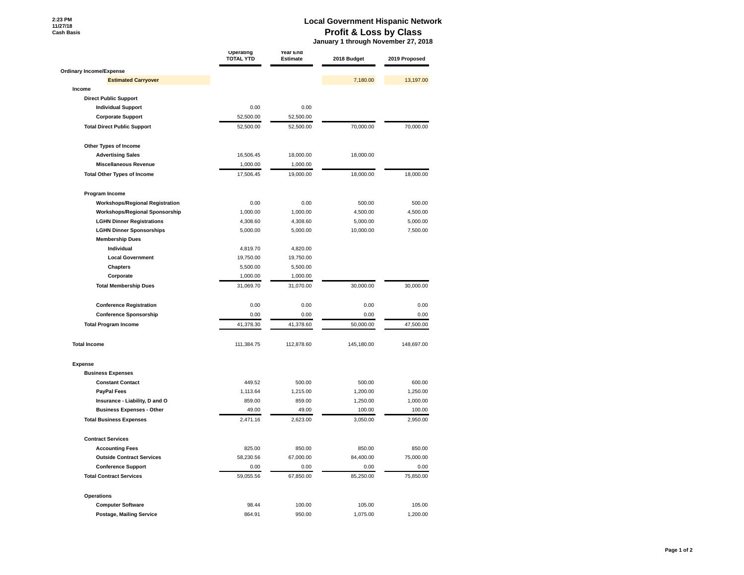#### **Local Government Hispanic Network Profit & Loss by Class**

 **January 1 through November 27, 2018**

|                                        | Operating<br><b>TOTAL YTD</b> | Year End<br><b>Estimate</b> | 2018 Budget | 2019 Proposed |
|----------------------------------------|-------------------------------|-----------------------------|-------------|---------------|
| Ordinary Income/Expense                |                               |                             |             |               |
| <b>Estimated Carryover</b>             |                               |                             | 7,180.00    | 13,197.00     |
| Income                                 |                               |                             |             |               |
| <b>Direct Public Support</b>           |                               |                             |             |               |
| <b>Individual Support</b>              | 0.00                          | 0.00                        |             |               |
| <b>Corporate Support</b>               | 52,500.00                     | 52,500.00                   |             |               |
| <b>Total Direct Public Support</b>     | 52,500.00                     | 52,500.00                   | 70,000.00   | 70,000.00     |
| Other Types of Income                  |                               |                             |             |               |
| <b>Advertising Sales</b>               | 16,506.45                     | 18,000.00                   | 18,000.00   |               |
| <b>Miscellaneous Revenue</b>           | 1,000.00                      | 1,000.00                    |             |               |
| <b>Total Other Types of Income</b>     | 17,506.45                     | 19,000.00                   | 18,000.00   | 18,000.00     |
| Program Income                         |                               |                             |             |               |
| <b>Workshops/Regional Registration</b> | 0.00                          | 0.00                        | 500.00      | 500.00        |
| <b>Workshops/Regional Sponsorship</b>  | 1,000.00                      | 1,000.00                    | 4,500.00    | 4,500.00      |
| <b>LGHN Dinner Registrations</b>       | 4,308.60                      | 4,308.60                    | 5,000.00    | 5,000.00      |
| <b>LGHN Dinner Sponsorships</b>        | 5,000.00                      | 5,000.00                    | 10,000.00   | 7,500.00      |
| <b>Membership Dues</b>                 |                               |                             |             |               |
| Individual                             | 4,819.70                      | 4,820.00                    |             |               |
| <b>Local Government</b>                | 19,750.00                     | 19,750.00                   |             |               |
| <b>Chapters</b>                        | 5,500.00                      | 5,500.00                    |             |               |
| Corporate                              | 1,000.00                      | 1,000.00                    |             |               |
| <b>Total Membership Dues</b>           | 31,069.70                     | 31,070.00                   | 30,000.00   | 30,000.00     |
| <b>Conference Registration</b>         | 0.00                          | 0.00                        | 0.00        | 0.00          |
| <b>Conference Sponsorship</b>          | 0.00                          | 0.00                        | 0.00        | 0.00          |
| <b>Total Program Income</b>            | 41,378.30                     | 41,378.60                   | 50,000.00   | 47,500.00     |
| <b>Total Income</b>                    | 111,384.75                    | 112,878.60                  | 145,180.00  | 148,697.00    |
| Expense                                |                               |                             |             |               |
| <b>Business Expenses</b>               |                               |                             |             |               |
| <b>Constant Contact</b>                | 449.52                        | 500.00                      | 500.00      | 600.00        |
| <b>PayPal Fees</b>                     | 1,113.64                      | 1,215.00                    | 1,200.00    | 1,250.00      |
| Insurance - Liability, D and O         | 859.00                        | 859.00                      | 1,250.00    | 1,000.00      |
| <b>Business Expenses - Other</b>       | 49.00                         | 49.00                       | 100.00      | 100.00        |
| <b>Total Business Expenses</b>         | 2,471.16                      | 2,623.00                    | 3,050.00    | 2,950.00      |
| <b>Contract Services</b>               |                               |                             |             |               |
| <b>Accounting Fees</b>                 | 825.00                        | 850.00                      | 850.00      | 850.00        |
| <b>Outside Contract Services</b>       | 58,230.56                     | 67,000.00                   | 84,400.00   | 75,000.00     |
| <b>Conference Support</b>              | 0.00                          | 0.00                        | 0.00        | 0.00          |
| <b>Total Contract Services</b>         | 59,055.56                     | 67,850.00                   | 85,250.00   | 75,850.00     |
| Operations                             |                               |                             |             |               |
| <b>Computer Software</b>               | 98.44                         | 100.00                      | 105.00      | 105.00        |
| Postage, Mailing Service               | 864.91                        | 950.00                      | 1,075.00    | 1,200.00      |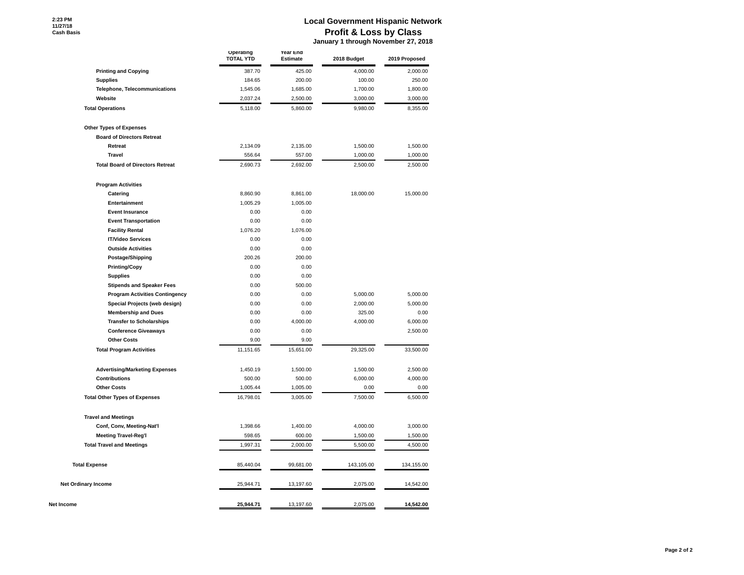#### **Local Government Hispanic Network Profit & Loss by Class**

 **January 1 through November 27, 2018**

|                                         | Operating<br><b>TOTAL YTD</b> | Year End<br><b>Estimate</b> | 2018 Budget | 2019 Proposed |
|-----------------------------------------|-------------------------------|-----------------------------|-------------|---------------|
| <b>Printing and Copying</b>             | 387.70                        | 425.00                      | 4,000.00    | 2,000.00      |
| <b>Supplies</b>                         | 184.65                        | 200.00                      | 100.00      | 250.00        |
| Telephone, Telecommunications           | 1,545.06                      | 1,685.00                    | 1,700.00    | 1,800.00      |
| Website                                 | 2,037.24                      | 2,500.00                    | 3,000.00    | 3,000.00      |
| <b>Total Operations</b>                 | 5,118.00                      | 5,860.00                    | 9,980.00    | 8,355.00      |
| <b>Other Types of Expenses</b>          |                               |                             |             |               |
| <b>Board of Directors Retreat</b>       |                               |                             |             |               |
| Retreat                                 | 2,134.09                      | 2,135.00                    | 1,500.00    | 1,500.00      |
| <b>Travel</b>                           | 556.64                        | 557.00                      | 1,000.00    | 1,000.00      |
| <b>Total Board of Directors Retreat</b> | 2,690.73                      | 2,692.00                    | 2,500.00    | 2,500.00      |
| <b>Program Activities</b>               |                               |                             |             |               |
| Catering                                | 8,860.90                      | 8,861.00                    | 18,000.00   | 15,000.00     |
| Entertainment                           | 1,005.29                      | 1,005.00                    |             |               |
| <b>Event Insurance</b>                  | 0.00                          | 0.00                        |             |               |
| <b>Event Transportation</b>             | 0.00                          | 0.00                        |             |               |
| <b>Facility Rental</b>                  | 1,076.20                      | 1,076.00                    |             |               |
| <b>IT/Video Services</b>                | 0.00                          | 0.00                        |             |               |
| <b>Outside Activities</b>               | 0.00                          | 0.00                        |             |               |
| Postage/Shipping                        | 200.26                        | 200.00                      |             |               |
| <b>Printing/Copy</b>                    | 0.00                          | 0.00                        |             |               |
| <b>Supplies</b>                         | 0.00                          | 0.00                        |             |               |
| <b>Stipends and Speaker Fees</b>        | 0.00                          | 500.00                      |             |               |
| <b>Program Activities Contingency</b>   | 0.00                          | 0.00                        | 5,000.00    | 5,000.00      |
| Special Projects (web design)           | 0.00                          | 0.00                        | 2,000.00    | 5,000.00      |
| <b>Membership and Dues</b>              | 0.00                          | 0.00                        | 325.00      | 0.00          |
| <b>Transfer to Scholarships</b>         | 0.00                          | 4,000.00                    | 4,000.00    | 6,000.00      |
| <b>Conference Giveaways</b>             | 0.00                          | 0.00                        |             | 2,500.00      |
| <b>Other Costs</b>                      | 9.00                          | 9.00                        |             |               |
| <b>Total Program Activities</b>         | 11,151.65                     | 15,651.00                   | 29,325.00   | 33,500.00     |
| <b>Advertising/Marketing Expenses</b>   | 1,450.19                      | 1,500.00                    | 1,500.00    | 2,500.00      |
| <b>Contributions</b>                    | 500.00                        | 500.00                      | 6,000.00    | 4,000.00      |
| <b>Other Costs</b>                      | 1,005.44                      | 1,005.00                    | 0.00        | 0.00          |
| <b>Total Other Types of Expenses</b>    | 16,798.01                     | 3,005.00                    | 7,500.00    | 6,500.00      |
| <b>Travel and Meetings</b>              |                               |                             |             |               |
| Conf, Conv, Meeting-Nat'l               | 1,398.66                      | 1,400.00                    | 4,000.00    | 3,000.00      |
| <b>Meeting Travel-Reg'l</b>             | 598.65                        | 600.00                      | 1,500.00    | 1,500.00      |
| <b>Total Travel and Meetings</b>        | 1,997.31                      | 2,000.00                    | 5,500.00    | 4,500.00      |
| <b>Total Expense</b>                    | 85,440.04                     | 99,681.00                   | 143,105.00  | 134,155.00    |
| Net Ordinary Income                     | 25,944.71                     | 13,197.60                   | 2,075.00    | 14,542.00     |
| Net Income                              | 25,944.71                     | 13,197.60                   | 2,075.00    | 14,542.00     |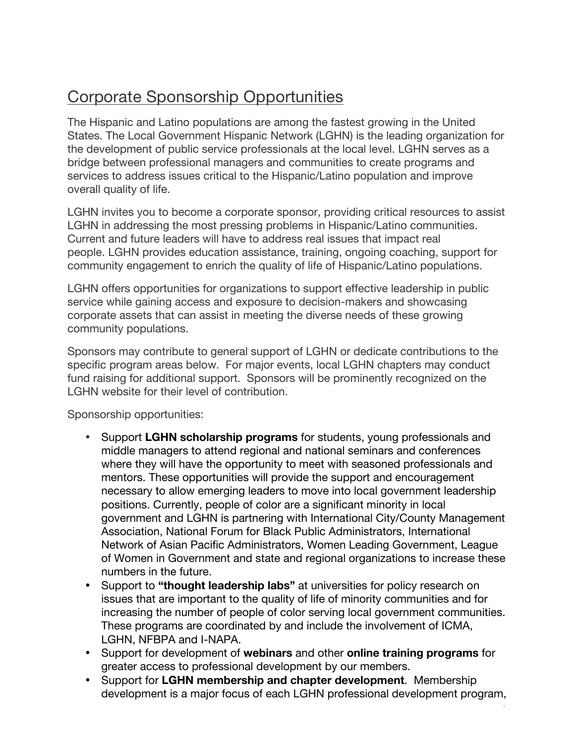# Corporate Sponsorship Opportunities

The Hispanic and Latino populations are among the fastest growing in the United States. The Local Government Hispanic Network (LGHN) is the leading organization for the development of public service professionals at the local level. LGHN serves as a bridge between professional managers and communities to create programs and services to address issues critical to the Hispanic/Latino population and improve overall quality of life.

LGHN invites you to become a corporate sponsor, providing critical resources to assist LGHN in addressing the most pressing problems in Hispanic/Latino communities. Current and future leaders will have to address real issues that impact real people. LGHN provides education assistance, training, ongoing coaching, support for community engagement to enrich the quality of life of Hispanic/Latino populations.

LGHN offers opportunities for organizations to support effective leadership in public service while gaining access and exposure to decision-makers and showcasing corporate assets that can assist in meeting the diverse needs of these growing community populations.

Sponsors may contribute to general support of LGHN or dedicate contributions to the specific program areas below. For major events, local LGHN chapters may conduct fund raising for additional support. Sponsors will be prominently recognized on the LGHN website for their level of contribution.

Sponsorship opportunities:

- Support **LGHN scholarship programs** for students, young professionals and middle managers to attend regional and national seminars and conferences where they will have the opportunity to meet with seasoned professionals and mentors. These opportunities will provide the support and encouragement necessary to allow emerging leaders to move into local government leadership positions. Currently, people of color are a significant minority in local government and LGHN is partnering with International City/County Management Association, National Forum for Black Public Administrators, International Network of Asian Pacific Administrators, Women Leading Government, League of Women in Government and state and regional organizations to increase these numbers in the future.
- Support to **"thought leadership labs"** at universities for policy research on issues that are important to the quality of life of minority communities and for increasing the number of people of color serving local government communities. These programs are coordinated by and include the involvement of ICMA, LGHN, NFBPA and I-NAPA.
- Support for development of **webinars** and other **online training programs** for greater access to professional development by our members.
- Support for **LGHN membership and chapter development**. Membership development is a major focus of each LGHN professional development program,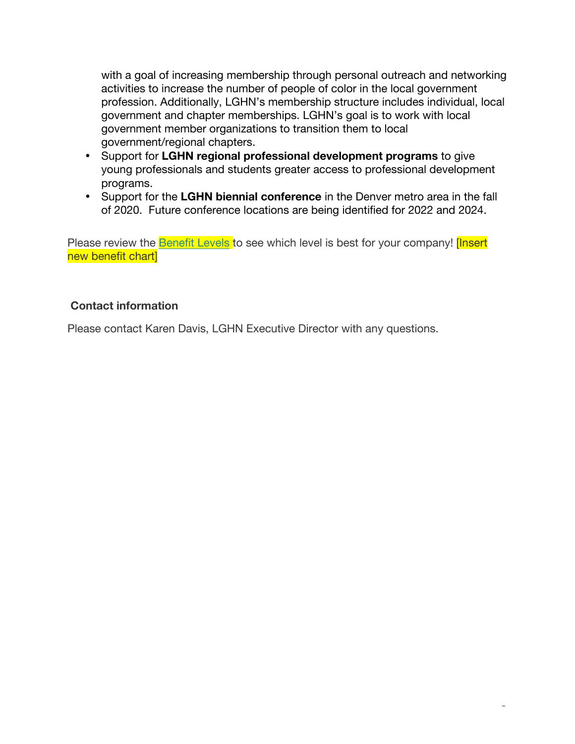with a goal of increasing membership through personal outreach and networking activities to increase the number of people of color in the local government profession. Additionally, LGHN's membership structure includes individual, local government and chapter memberships. LGHN's goal is to work with local government member organizations to transition them to local government/regional chapters.

- Support for **LGHN regional professional development programs** to give young professionals and students greater access to professional development programs.
- Support for the **LGHN biennial conference** in the Denver metro area in the fall of 2020. Future conference locations are being identified for 2022 and 2024.

Please review the **Benefit Levels** to see which level is best for your company! [Insert new benefit chart]

# **Contact information**

Please contact Karen Davis, LGHN Executive Director with any questions.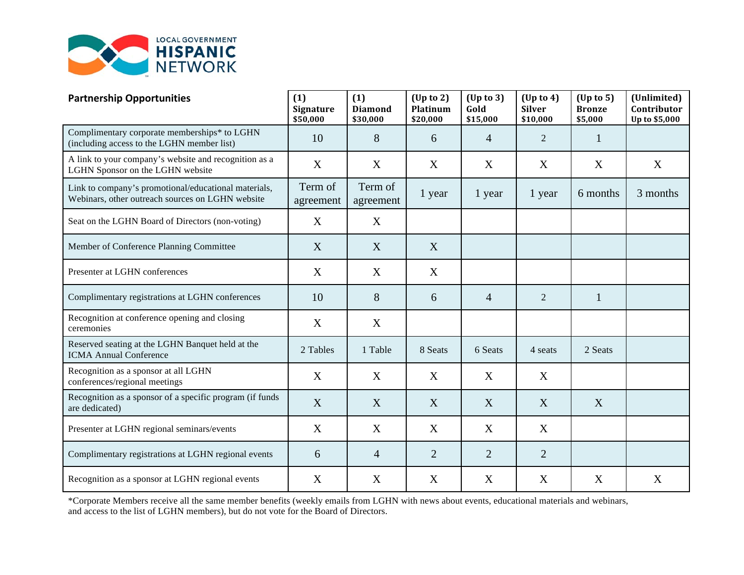

| <b>Partnership Opportunities</b>                                                                         | (1)<br><b>Signature</b><br>\$50,000 | (1)<br><b>Diamond</b><br>\$30,000 | $Up$ to 2)<br>Platinum<br>\$20,000 | $(Up \text{ to } 3)$<br>Gold<br>\$15,000 | $(\text{Up to 4})$<br><b>Silver</b><br>\$10,000 | $(Up \text{ to } 5)$<br><b>Bronze</b><br>\$5,000 | (Unlimited)<br>Contributor<br>Up to \$5,000 |
|----------------------------------------------------------------------------------------------------------|-------------------------------------|-----------------------------------|------------------------------------|------------------------------------------|-------------------------------------------------|--------------------------------------------------|---------------------------------------------|
| Complimentary corporate memberships* to LGHN<br>(including access to the LGHN member list)               | 10                                  | 8                                 | 6                                  | $\overline{4}$                           | $\overline{2}$                                  | $\mathbf{1}$                                     |                                             |
| A link to your company's website and recognition as a<br>LGHN Sponsor on the LGHN website                | X                                   | X                                 | X                                  | X                                        | X                                               | X                                                | X                                           |
| Link to company's promotional/educational materials,<br>Webinars, other outreach sources on LGHN website | Term of<br>agreement                | Term of<br>agreement              | 1 year                             | 1 year                                   | 1 year                                          | 6 months                                         | 3 months                                    |
| Seat on the LGHN Board of Directors (non-voting)                                                         | X                                   | X                                 |                                    |                                          |                                                 |                                                  |                                             |
| Member of Conference Planning Committee                                                                  | X                                   | X                                 | X                                  |                                          |                                                 |                                                  |                                             |
| Presenter at LGHN conferences                                                                            | X                                   | X                                 | X                                  |                                          |                                                 |                                                  |                                             |
| Complimentary registrations at LGHN conferences                                                          | 10                                  | 8                                 | 6                                  | $\overline{4}$                           | $\overline{2}$                                  | 1                                                |                                             |
| Recognition at conference opening and closing<br>ceremonies                                              | X                                   | X                                 |                                    |                                          |                                                 |                                                  |                                             |
| Reserved seating at the LGHN Banquet held at the<br><b>ICMA Annual Conference</b>                        | 2 Tables                            | 1 Table                           | 8 Seats                            | 6 Seats                                  | 4 seats                                         | 2 Seats                                          |                                             |
| Recognition as a sponsor at all LGHN<br>conferences/regional meetings                                    | X                                   | X                                 | X                                  | X                                        | X                                               |                                                  |                                             |
| Recognition as a sponsor of a specific program (if funds<br>are dedicated)                               | X                                   | X                                 | X                                  | X                                        | X                                               | X                                                |                                             |
| Presenter at LGHN regional seminars/events                                                               | X                                   | X                                 | X                                  | X                                        | X                                               |                                                  |                                             |
| Complimentary registrations at LGHN regional events                                                      | 6                                   | $\overline{4}$                    | $\overline{2}$                     | $\overline{2}$                           | $\overline{2}$                                  |                                                  |                                             |
| Recognition as a sponsor at LGHN regional events                                                         | X                                   | X                                 | X                                  | X                                        | X                                               | X                                                | X                                           |

\*Corporate Members receive all the same member benefits (weekly emails from LGHN with news about events, educational materials and webinars, and access to the list of LGHN members), but do not vote for the Board of Directors.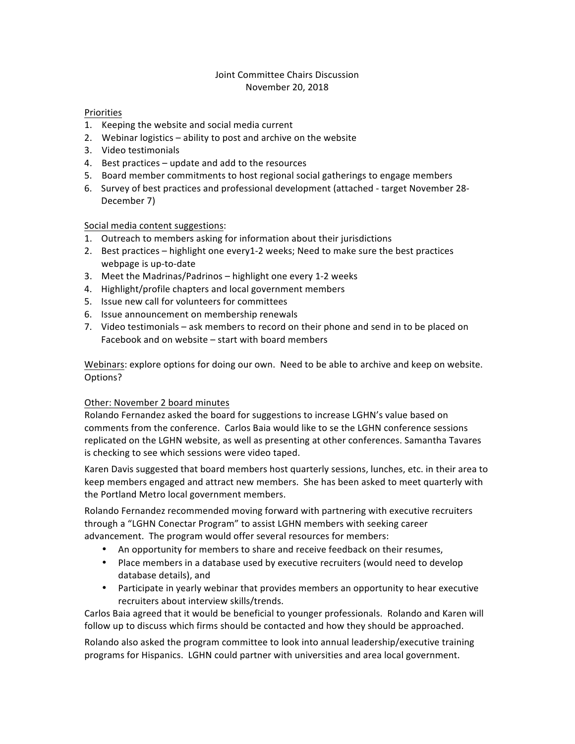#### Joint Committee Chairs Discussion November 20, 2018

#### Priorities

- 1. Keeping the website and social media current
- 2. Webinar logistics  $-$  ability to post and archive on the website
- 3. Video testimonials
- 4. Best practices update and add to the resources
- 5. Board member commitments to host regional social gatherings to engage members
- 6. Survey of best practices and professional development (attached target November 28-December 7)

#### Social media content suggestions:

- 1. Outreach to members asking for information about their jurisdictions
- 2. Best practices highlight one every1-2 weeks; Need to make sure the best practices webpage is up-to-date
- 3. Meet the Madrinas/Padrinos highlight one every 1-2 weeks
- 4. Highlight/profile chapters and local government members
- 5. Issue new call for volunteers for committees
- 6. Issue announcement on membership renewals
- 7. Video testimonials ask members to record on their phone and send in to be placed on Facebook and on website  $-$  start with board members

Webinars: explore options for doing our own. Need to be able to archive and keep on website. Options?

#### Other: November 2 board minutes

Rolando Fernandez asked the board for suggestions to increase LGHN's value based on comments from the conference. Carlos Baia would like to se the LGHN conference sessions replicated on the LGHN website, as well as presenting at other conferences. Samantha Tavares is checking to see which sessions were video taped.

Karen Davis suggested that board members host quarterly sessions, lunches, etc. in their area to keep members engaged and attract new members. She has been asked to meet quarterly with the Portland Metro local government members.

Rolando Fernandez recommended moving forward with partnering with executive recruiters through a "LGHN Conectar Program" to assist LGHN members with seeking career advancement. The program would offer several resources for members:

- An opportunity for members to share and receive feedback on their resumes,
- Place members in a database used by executive recruiters (would need to develop database details), and
- Participate in yearly webinar that provides members an opportunity to hear executive recruiters about interview skills/trends.

Carlos Baia agreed that it would be beneficial to younger professionals. Rolando and Karen will follow up to discuss which firms should be contacted and how they should be approached.

Rolando also asked the program committee to look into annual leadership/executive training programs for Hispanics. LGHN could partner with universities and area local government.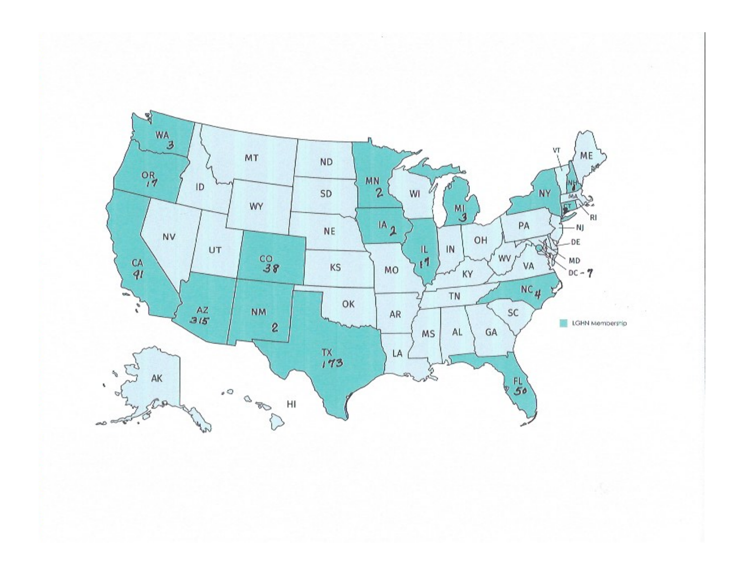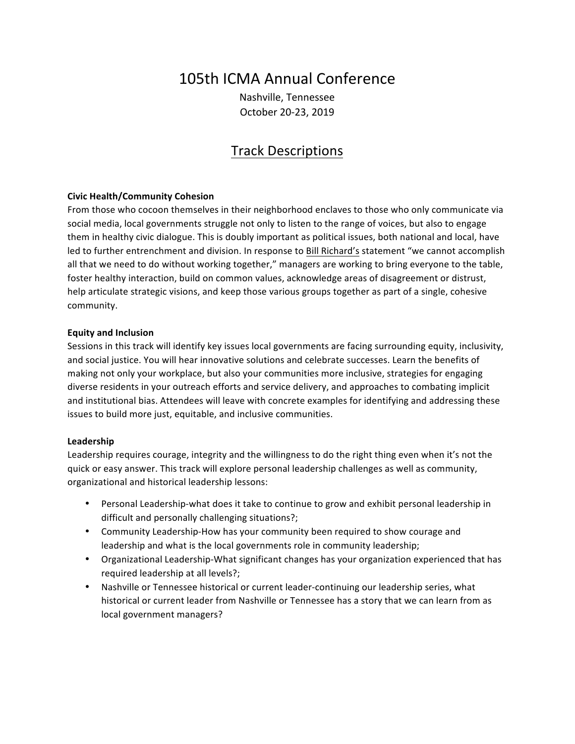# 105th ICMA Annual Conference

Nashville, Tennessee October 20-23, 2019

# Track&Descriptions

#### **Civic%Health/Community%Cohesion**

From those who cocoon themselves in their neighborhood enclaves to those who only communicate via social media, local governments struggle not only to listen to the range of voices, but also to engage them in healthy civic dialogue. This is doubly important as political issues, both national and local, have led to further entrenchment and division. In response to Bill Richard's statement "we cannot accomplish all that we need to do without working together," managers are working to bring everyone to the table, foster healthy interaction, build on common values, acknowledge areas of disagreement or distrust, help articulate strategic visions, and keep those various groups together as part of a single, cohesive community.

#### **Equity%and%Inclusion**

Sessions in this track will identify key issues local governments are facing surrounding equity, inclusivity, and social justice. You will hear innovative solutions and celebrate successes. Learn the benefits of making not only your workplace, but also your communities more inclusive, strategies for engaging diverse residents in your outreach efforts and service delivery, and approaches to combating implicit and institutional bias. Attendees will leave with concrete examples for identifying and addressing these issues to build more just, equitable, and inclusive communities.

#### **Leadership**

Leadership requires courage, integrity and the willingness to do the right thing even when it's not the quick or easy answer. This track will explore personal leadership challenges as well as community, organizational and historical leadership lessons:

- Personal Leadership-what does it take to continue to grow and exhibit personal leadership in difficult and personally challenging situations?;
- Community Leadership-How has your community been required to show courage and leadership and what is the local governments role in community leadership;
- Organizational Leadership-What significant changes has your organization experienced that has required leadership at all levels?;
- Nashville or Tennessee historical or current leader-continuing our leadership series, what historical or current leader from Nashville or Tennessee has a story that we can learn from as local government managers?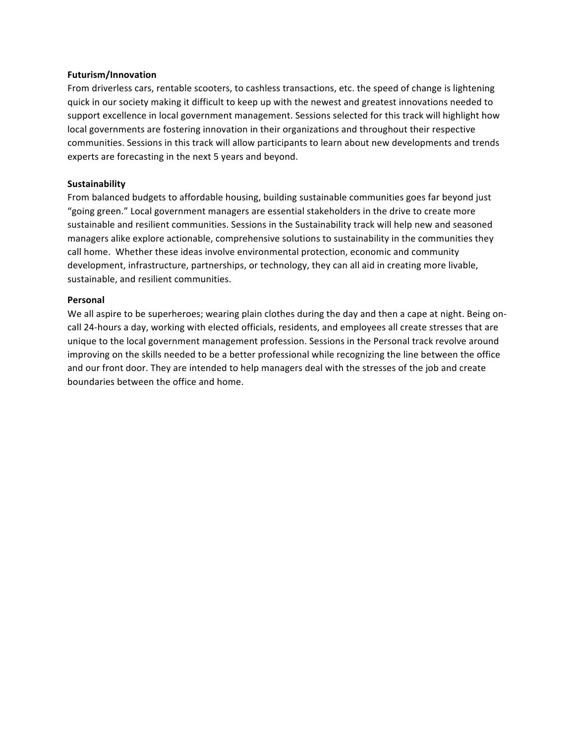#### **Futurism/Innovation**

From driverless cars, rentable scooters, to cashless transactions, etc. the speed of change is lightening quick in our society making it difficult to keep up with the newest and greatest innovations needed to support excellence in local government management. Sessions selected for this track will highlight how local governments are fostering innovation in their organizations and throughout their respective communities. Sessions in this track will allow participants to learn about new developments and trends experts are forecasting in the next 5 years and beyond.

#### **Sustainability**

From balanced budgets to affordable housing, building sustainable communities goes far beyond just "going green." Local government managers are essential stakeholders in the drive to create more sustainable and resilient communities. Sessions in the Sustainability track will help new and seasoned managers alike explore actionable, comprehensive solutions to sustainability in the communities they call home. Whether these ideas involve environmental protection, economic and community development, infrastructure, partnerships, or technology, they can all aid in creating more livable, sustainable, and resilient communities.

#### **Personal**

We all aspire to be superheroes; wearing plain clothes during the day and then a cape at night. Being oncall 24-hours a day, working with elected officials, residents, and employees all create stresses that are unique to the local government management profession. Sessions in the Personal track revolve around improving on the skills needed to be a better professional while recognizing the line between the office and our front door. They are intended to help managers deal with the stresses of the job and create boundaries between the office and home.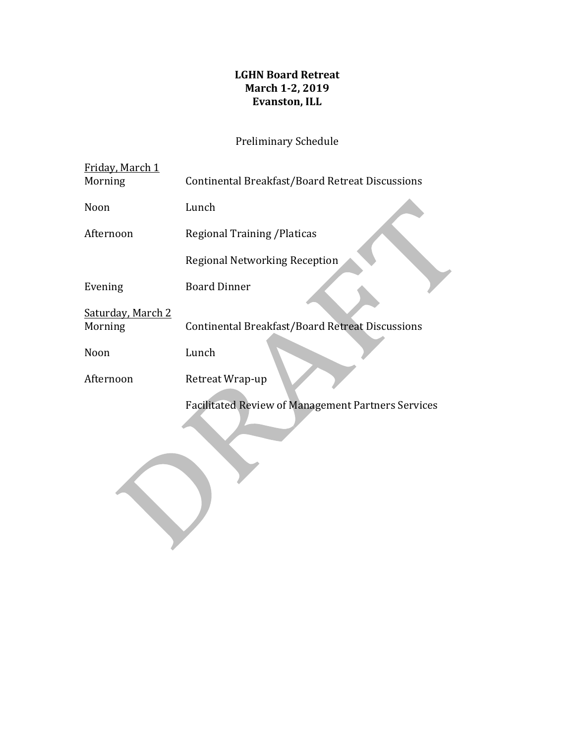# **LGHN Board Retreat March 1-2, 2019 Evanston, ILL**

# Preliminary Schedule

| Friday, March 1<br>Morning   | Continental Breakfast/Board Retreat Discussions           |
|------------------------------|-----------------------------------------------------------|
| Noon                         | Lunch                                                     |
| Afternoon                    | <b>Regional Training / Platicas</b>                       |
|                              | Regional Networking Reception                             |
| Evening                      | <b>Board Dinner</b>                                       |
| Saturday, March 2<br>Morning | Continental Breakfast/Board Retreat Discussions           |
| Noon                         | Lunch                                                     |
| Afternoon                    | Retreat Wrap-up                                           |
|                              | <b>Facilitated Review of Management Partners Services</b> |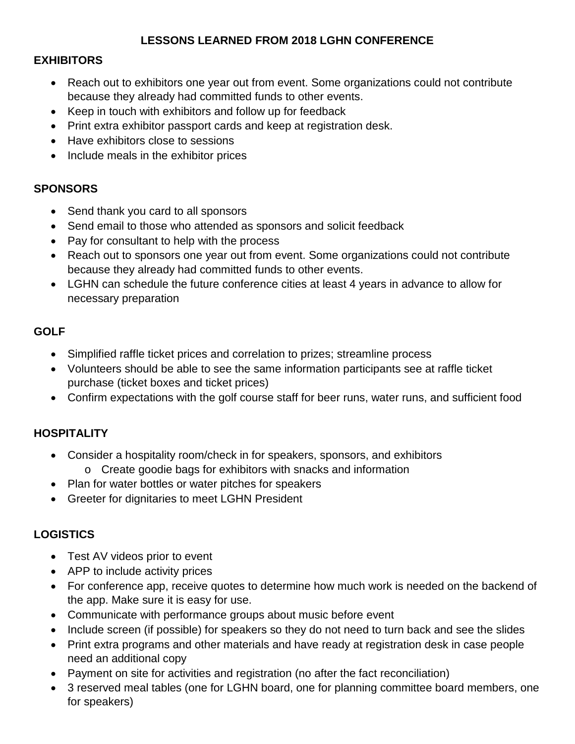# **LESSONS LEARNED FROM 2018 LGHN CONFERENCE**

# **EXHIBITORS**

- Reach out to exhibitors one year out from event. Some organizations could not contribute because they already had committed funds to other events.
- Keep in touch with exhibitors and follow up for feedback
- Print extra exhibitor passport cards and keep at registration desk.
- Have exhibitors close to sessions
- Include meals in the exhibitor prices

# **SPONSORS**

- Send thank you card to all sponsors
- Send email to those who attended as sponsors and solicit feedback
- Pay for consultant to help with the process
- Reach out to sponsors one year out from event. Some organizations could not contribute because they already had committed funds to other events.
- LGHN can schedule the future conference cities at least 4 years in advance to allow for necessary preparation

# **GOLF**

- Simplified raffle ticket prices and correlation to prizes; streamline process
- Volunteers should be able to see the same information participants see at raffle ticket purchase (ticket boxes and ticket prices)
- Confirm expectations with the golf course staff for beer runs, water runs, and sufficient food

# **HOSPITALITY**

- Consider a hospitality room/check in for speakers, sponsors, and exhibitors
	- o Create goodie bags for exhibitors with snacks and information
- Plan for water bottles or water pitches for speakers
- Greeter for dignitaries to meet LGHN President

# **LOGISTICS**

- Test AV videos prior to event
- APP to include activity prices
- For conference app, receive quotes to determine how much work is needed on the backend of the app. Make sure it is easy for use.
- Communicate with performance groups about music before event
- Include screen (if possible) for speakers so they do not need to turn back and see the slides
- Print extra programs and other materials and have ready at registration desk in case people need an additional copy
- Payment on site for activities and registration (no after the fact reconciliation)
- 3 reserved meal tables (one for LGHN board, one for planning committee board members, one for speakers)